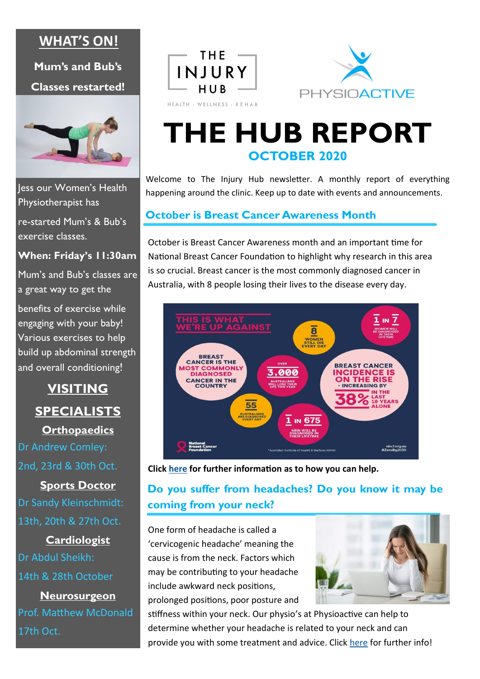### **WHAT'S ON!**

**Mum's and Bub's** 

**Classes restarted!**



Jess our Women's Health Physiotherapist has

re-started Mum's & Bub's exercise classes.

**When: Friday's 11:30am**

Mum's and Bub's classes are a great way to get the

benefits of exercise while engaging with your baby! Various exercises to help build up abdominal strength and overall conditioning!

> **VISITING SPECIALISTS Orthopaedics**

Dr Andrew Comley: 2nd, 23rd & 30th Oct.

**Sports Doctor** Dr Sandy Kleinschmidt: 13th, 20th & 27th Oct.

**Cardiologist** Dr Abdul Sheikh: 14th & 28th October **Neurosurgeon**

Prof. Matthew McDonald 17th Oct.





## **THE HUB REPORT OCTOBER 2020**

Welcome to The Injury Hub newsletter. A monthly report of everything happening around the clinic. Keep up to date with events and announcements.

### **October is Breast Cancer Awareness Month**

October is Breast Cancer Awareness month and an important time for National Breast Cancer Foundation to highlight why research in this area is so crucial. Breast cancer is the most commonly diagnosed cancer in Australia, with 8 people losing their lives to the disease every day.



**Click [here](https://nbcf.org.au/fundraise/breast-cancer-awareness-month/) for further information as to how you can help.**

### **Do you suffer from headaches? Do you know it may be coming from your neck?**

One form of headache is called a 'cervicogenic headache' meaning the cause is from the neck. Factors which may be contributing to your headache include awkward neck positions, prolonged positions, poor posture and



stiffness within your neck. Our physio's at Physioactive can help to determine whether your headache is related to your neck and can provide you with some treatment and advice. Click [here](https://www.physioactivesa.com.au/is-work-giving-you-a-headache/) for further info!